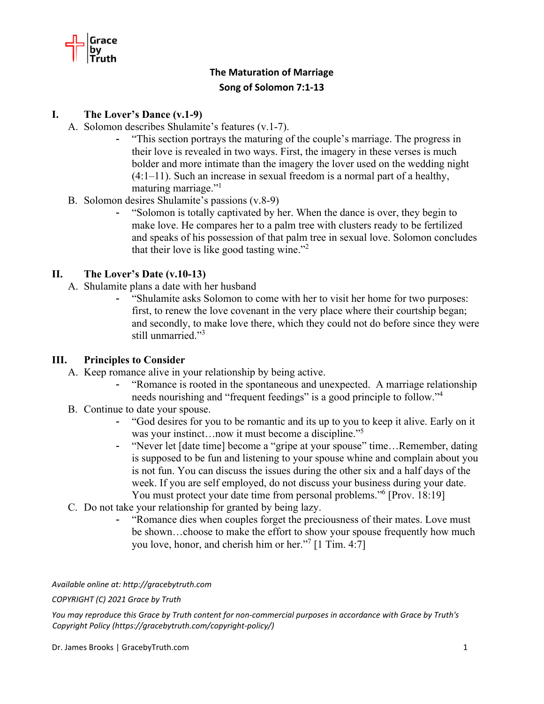

# **The Maturation of Marriage Song of Solomon 7:1‐13**

#### **I. The Lover's Dance (v.1-9)**

- A. Solomon describes Shulamite's features (v.1-7).
	- "This section portrays the maturing of the couple's marriage. The progress in their love is revealed in two ways. First, the imagery in these verses is much bolder and more intimate than the imagery the lover used on the wedding night (4:1–11). Such an increase in sexual freedom is a normal part of a healthy, maturing marriage."<sup>1</sup>
- B. Solomon desires Shulamite's passions (v.8-9)
	- "Solomon is totally captivated by her. When the dance is over, they begin to make love. He compares her to a palm tree with clusters ready to be fertilized and speaks of his possession of that palm tree in sexual love. Solomon concludes that their love is like good tasting wine."<sup>2</sup>

## **II. The Lover's Date (v.10-13)**

- A. Shulamite plans a date with her husband
	- "Shulamite asks Solomon to come with her to visit her home for two purposes: first, to renew the love covenant in the very place where their courtship began; and secondly, to make love there, which they could not do before since they were still unmarried."3

#### **III. Principles to Consider**

- A. Keep romance alive in your relationship by being active.
	- "Romance is rooted in the spontaneous and unexpected. A marriage relationship needs nourishing and "frequent feedings" is a good principle to follow."<sup>4</sup>
- B. Continue to date your spouse.
	- "God desires for you to be romantic and its up to you to keep it alive. Early on it was your instinct...now it must become a discipline."<sup>5</sup>
	- "Never let [date time] become a "gripe at your spouse" time…Remember, dating is supposed to be fun and listening to your spouse whine and complain about you is not fun. You can discuss the issues during the other six and a half days of the week. If you are self employed, do not discuss your business during your date. You must protect your date time from personal problems."<sup>6</sup> [Prov. 18:19]
- C. Do not take your relationship for granted by being lazy.
	- "Romance dies when couples forget the preciousness of their mates. Love must be shown…choose to make the effort to show your spouse frequently how much you love, honor, and cherish him or her."7 [1 Tim. 4:7]

*Available online at: http://gracebytruth.com*

*COPYRIGHT (C) 2021 Grace by Truth*

You may reproduce this Grace by Truth content for non-commercial purposes in accordance with Grace by Truth's *Copyright Policy (https://gracebytruth.com/copyright‐policy/)*